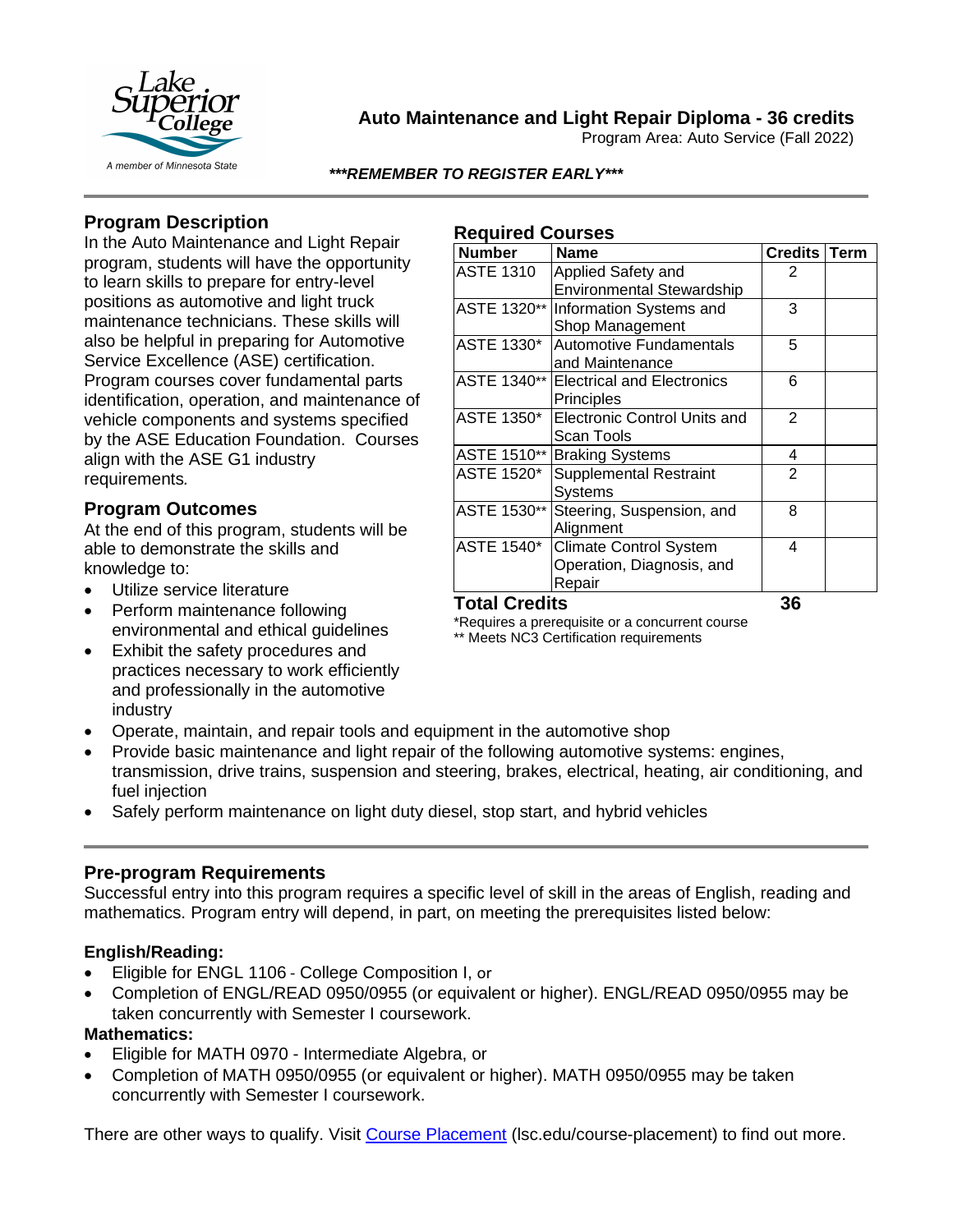

# **Auto Maintenance and Light Repair Diploma - 36 credits**

Program Area: Auto Service (Fall 2022)

#### *\*\*\*REMEMBER TO REGISTER EARLY\*\*\**

# **Program Description**

In the Auto Maintenance and Light Repair program, students will have the opportunity to learn skills to prepare for entry-level positions as automotive and light truck maintenance technicians. These skills will also be helpful in preparing for Automotive Service Excellence (ASE) certification. Program courses cover fundamental parts identification, operation, and maintenance of vehicle components and systems specified by the ASE Education Foundation. Courses align with the ASE G1 industry requirements*.*

## **Program Outcomes**

At the end of this program, students will be able to demonstrate the skills and knowledge to:

- Utilize service literature
- Perform maintenance following environmental and ethical guidelines
- Exhibit the safety procedures and practices necessary to work efficiently and professionally in the automotive industry

## • Operate, maintain, and repair tools and equipment in the automotive shop

- Provide basic maintenance and light repair of the following automotive systems: engines, transmission, drive trains, suspension and steering, brakes, electrical, heating, air conditioning, and
- Safely perform maintenance on light duty diesel, stop start, and hybrid vehicles

## **Pre-program Requirements**

Successful entry into this program requires a specific level of skill in the areas of English, reading and mathematics. Program entry will depend, in part, on meeting the prerequisites listed below:

## **English/Reading:**

fuel injection

- Eligible for ENGL 1106 College Composition I, or
- Completion of ENGL/READ 0950/0955 (or equivalent or higher). ENGL/READ 0950/0955 may be taken concurrently with Semester I coursework.

#### **Mathematics:**

- Eligible for MATH 0970 Intermediate Algebra, or
- Completion of MATH 0950/0955 (or equivalent or higher). MATH 0950/0955 may be taken concurrently with Semester I coursework.

There are other ways to qualify. Visit [Course Placement](https://lsc.edu/course-placement) (Isc.edu/course-placement) to find out more.

#### **Required Courses**

| <b>Number</b>        | <b>Name</b>                         | Credits   Term |  |
|----------------------|-------------------------------------|----------------|--|
| <b>ASTE 1310</b>     | Applied Safety and                  | 2              |  |
|                      | <b>Environmental Stewardship</b>    |                |  |
| ASTE 1320**          | Information Systems and             | 3              |  |
|                      | Shop Management                     |                |  |
| ASTE 1330*           | <b>Automotive Fundamentals</b>      | 5              |  |
|                      | and Maintenance                     |                |  |
| ASTE 1340**          | <b>Electrical and Electronics</b>   | 6              |  |
|                      | Principles                          |                |  |
| ASTE 1350*           | <b>Electronic Control Units and</b> | $\overline{2}$ |  |
|                      | Scan Tools                          |                |  |
| ASTE 1510**          | <b>Braking Systems</b>              | 4              |  |
| ASTE 1520*           | <b>Supplemental Restraint</b>       | $\overline{2}$ |  |
|                      | Systems                             |                |  |
| ASTE 1530**          | Steering, Suspension, and           | 8              |  |
|                      | Alignment                           |                |  |
| <b>ASTE 1540*</b>    | <b>Climate Control System</b>       | 4              |  |
|                      | Operation, Diagnosis, and           |                |  |
|                      | Repair                              |                |  |
| <b>Total Credits</b> |                                     | 36             |  |

\*Requires a prerequisite or a concurrent course

\*\* Meets NC3 Certification requirements